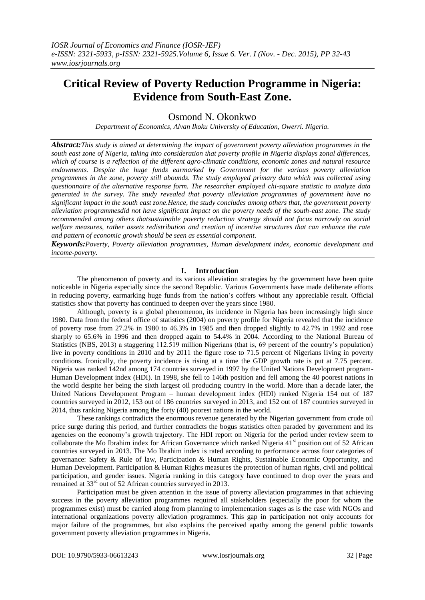# **Critical Review of Poverty Reduction Programme in Nigeria: Evidence from South-East Zone.**

# Osmond N. Okonkwo

*Department of Economics, Alvan Ikoku University of Education, Owerri. Nigeria.*

*Abstract:This study is aimed at determining the impact of government poverty alleviation programmes in the south east zone of Nigeria, taking into consideration that poverty profile in Nigeria displays zonal differences, which of course is a reflection of the different agro-climatic conditions, economic zones and natural resource endowments. Despite the huge funds earmarked by Government for the various poverty alleviation programmes in the zone, poverty still abounds. The study employed primary data which was collected using questionnaire of the alternative response form. The researcher employed chi-square statistic to analyze data generated in the survey. The study revealed that poverty alleviation programmes of government have no significant impact in the south east zone.Hence, the study concludes among others that, the government poverty alleviation programmesdid not have significant impact on the poverty needs of the south-east zone. The study recommended among others thatsustainable poverty reduction strategy should not focus narrowly on social welfare measures, rather assets redistribution and creation of incentive structures that can enhance the rate and pattern of economic growth should be seen as essential component*.

*Keywords:Poverty, Poverty alleviation programmes, Human development index, economic development and income-poverty.*

# **I. Introduction**

The phenomenon of poverty and its various alleviation strategies by the government have been quite noticeable in Nigeria especially since the second Republic. Various Governments have made deliberate efforts in reducing poverty, earmarking huge funds from the nation"s coffers without any appreciable result. Official statistics show that poverty has continued to deepen over the years since 1980.

Although, poverty is a global phenomenon, its incidence in Nigeria has been increasingly high since 1980. Data from the federal office of statistics (2004) on poverty profile for Nigeria revealed that the incidence of poverty rose from 27.2% in 1980 to 46.3% in 1985 and then dropped slightly to 42.7% in 1992 and rose sharply to 65.6% in 1996 and then dropped again to 54.4% in 2004. According to the National Bureau of Statistics (NBS, 2013) a staggering 112.519 million Nigerians (that is, 69 percent of the country"s population) live in poverty conditions in 2010 and by 2011 the figure rose to 71.5 percent of Nigerians living in poverty conditions. Ironically, the poverty incidence is rising at a time the GDP growth rate is put at 7.75 percent. Nigeria was ranked 142nd among 174 countries surveyed in 1997 by the United Nations Development program-Human Development index (HDI). In 1998, she fell to 146th position and fell among the 40 poorest nations in the world despite her being the sixth largest oil producing country in the world. More than a decade later, the United Nations Development Program – human development index (HDI) ranked Nigeria 154 out of 187 countries surveyed in 2012, 153 out of 186 countries surveyed in 2013, and 152 out of 187 countries surveyed in 2014, thus ranking Nigeria among the forty (40) poorest nations in the world.

These rankings contradicts the enormous revenue generated by the Nigerian government from crude oil price surge during this period, and further contradicts the bogus statistics often paraded by government and its agencies on the economy"s growth trajectory. The HDI report on Nigeria for the period under review seem to collaborate the Mo Ibrahim index for African Governance which ranked Nigeria  $41<sup>st</sup>$  position out of 52 African countries surveyed in 2013. The Mo Ibrahim index is rated according to performance across four categories of governance: Safety & Rule of law, Participation & Human Rights, Sustainable Economic Opportunity, and Human Development. Participation & Human Rights measures the protection of human rights, civil and political participation, and gender issues. Nigeria ranking in this category have continued to drop over the years and remained at 33rd out of 52 African countries surveyed in 2013.

Participation must be given attention in the issue of poverty alleviation programmes in that achieving success in the poverty alleviation programmes required all stakeholders (especially the poor for whom the programmes exist) must be carried along from planning to implementation stages as is the case with NGOs and international organizations poverty alleviation programmes. This gap in participation not only accounts for major failure of the programmes, but also explains the perceived apathy among the general public towards government poverty alleviation programmes in Nigeria.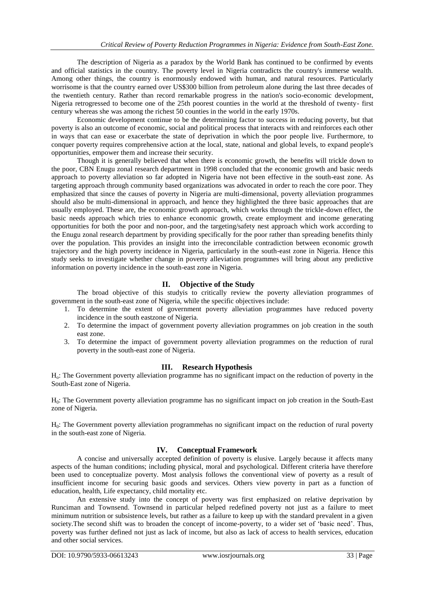The description of Nigeria as a paradox by the World Bank has continued to be confirmed by events and official statistics in the country. The poverty level in Nigeria contradicts the country's immerse wealth. Among other things, the country is enormously endowed with human, and natural resources. Particularly worrisome is that the country earned over US\$300 billion from petroleum alone during the last three decades of the twentieth century. Rather than record remarkable progress in the nation's socio-economic development, Nigeria retrogressed to become one of the 25th poorest counties in the world at the threshold of twenty- first century whereas she was among the richest 50 counties in the world in the early 1970s.

Economic development continue to be the determining factor to success in reducing poverty, but that poverty is also an outcome of economic, social and political process that interacts with and reinforces each other in ways that can ease or exacerbate the state of deprivation in which the poor people live. Furthermore, to conquer poverty requires comprehensive action at the local, state, national and global levels, to expand people's opportunities, empower them and increase their security.

Though it is generally believed that when there is economic growth, the benefits will trickle down to the poor, CBN Enugu zonal research department in 1998 concluded that the economic growth and basic needs approach to poverty alleviation so far adopted in Nigeria have not been effective in the south-east zone. As targeting approach through community based organizations was advocated in order to reach the core poor. They emphasized that since the causes of poverty in Nigeria are multi-dimensional, poverty alleviation programmes should also be multi-dimensional in approach, and hence they highlighted the three basic approaches that are usually employed. These are, the economic growth approach, which works through the trickle-down effect, the basic needs approach which tries to enhance economic growth, create employment and income generating opportunities for both the poor and non-poor, and the targeting/safety nest approach which work according to the Enugu zonal research department by providing specifically for the poor rather than spreading benefits thinly over the population. This provides an insight into the irreconcilable contradiction between economic growth trajectory and the high poverty incidence in Nigeria, particularly in the south-east zone in Nigeria. Hence this study seeks to investigate whether change in poverty alleviation programmes will bring about any predictive information on poverty incidence in the south-east zone in Nigeria.

# **II. Objective of the Study**

The broad objective of this studyis to critically review the poverty alleviation programmes of government in the south-east zone of Nigeria, while the specific objectives include:

- 1. To determine the extent of government poverty alleviation programmes have reduced poverty incidence in the south eastzone of Nigeria.
- 2. To determine the impact of government poverty alleviation programmes on job creation in the south east zone.
- 3. To determine the impact of government poverty alleviation programmes on the reduction of rural poverty in the south-east zone of Nigeria.

# **III. Research Hypothesis**

Ho: The Government poverty alleviation programme has no significant impact on the reduction of poverty in the South-East zone of Nigeria.

H0: The Government poverty alleviation programme has no significant impact on job creation in the South-East zone of Nigeria.

H0: The Government poverty alleviation programmehas no significant impact on the reduction of rural poverty in the south-east zone of Nigeria.

# **IV. Conceptual Framework**

A concise and universally accepted definition of poverty is elusive. Largely because it affects many aspects of the human conditions; including physical, moral and psychological. Different criteria have therefore been used to conceptualize poverty. Most analysis follows the conventional view of poverty as a result of insufficient income for securing basic goods and services. Others view poverty in part as a function of education, health, Life expectancy, child mortality etc.

An extensive study into the concept of poverty was first emphasized on relative deprivation by Runciman and Townsend. Townsend in particular helped redefined poverty not just as a failure to meet minimum nutrition or subsistence levels, but rather as a failure to keep up with the standard prevalent in a given society. The second shift was to broaden the concept of income-poverty, to a wider set of 'basic need'. Thus, poverty was further defined not just as lack of income, but also as lack of access to health services, education and other social services.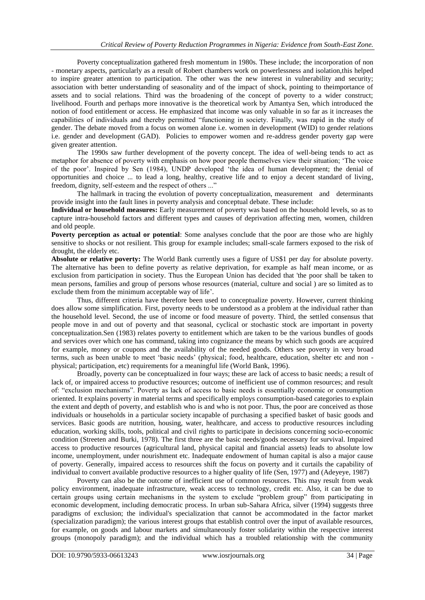Poverty conceptualization gathered fresh momentum in 1980s. These include; the incorporation of non - monetary aspects, particularly as a result of Robert chambers work on powerlessness and isolation,this helped to inspire greater attention to participation. The other was the new interest in vulnerability and security; association with better understanding of seasonality and of the impact of shock, pointing to theimportance of assets and to social relations. Third was the broadening of the concept of poverty to a wider construct; livelihood. Fourth and perhaps more innovative is the theoretical work by Amantya Sen, which introduced the notion of food entitlement or access. He emphasized that income was only valuable in so far as it increases the capabilities of individuals and thereby permitted "functioning in society. Finally, was rapid in the study of gender. The debate moved from a focus on women alone i.e. women in development (WID) to gender relations i.e. gender and development (GAD). Policies to empower women and re-address gender poverty gap were given greater attention.

The 1990s saw further development of the poverty concept. The idea of well-being tends to act as metaphor for absence of poverty with emphasis on how poor people themselves view their situation; "The voice of the poor". Inspired by Sen (1984), UNDP developed "the idea of human development; the denial of opportunities and choice ... to lead a long, healthy, creative life and to enjoy a decent standard of living, freedom, dignity, self-esteem and the respect of others ..."

The hallmark in tracing the evolution of poverty conceptualization, measurement and determinants provide insight into the fault lines in poverty analysis and conceptual debate. These include:

**Individual or household measures:** Early measurement of poverty was based on the household levels, so as to capture intra-household factors and different types and causes of deprivation affecting men, women, children and old people.

**Poverty perception as actual or potential**: Some analyses conclude that the poor are those who are highly sensitive to shocks or not resilient. This group for example includes; small-scale farmers exposed to the risk of drought, the elderly etc.

**Absolute or relative poverty:** The World Bank currently uses a figure of US\$1 per day for absolute poverty. The alternative has been to define poverty as relative deprivation, for example as half mean income, or as exclusion from participation in society. Thus the European Union has decided that 'the poor shall be taken to mean persons, families and group of persons whose resources (material, culture and social ) are so limited as to exclude them from the minimum acceptable way of life'.

Thus, different criteria have therefore been used to conceptualize poverty. However, current thinking does allow some simplification. First, poverty needs to be understood as a problem at the individual rather than the household level. Second, the use of income or food measure of poverty. Third, the settled consensus that people move in and out of poverty and that seasonal, cyclical or stochastic stock are important in poverty conceptualization.Sen (1983) relates poverty to entitlement which are taken to be the various bundles of goods and services over which one has command, taking into cognizance the means by which such goods are acquired for example, money or coupons and the availability of the needed goods. Others see poverty in very broad terms, such as been unable to meet "basic needs" (physical; food, healthcare, education, shelter etc and non physical; participation, etc) requirements for a meaningful life (World Bank, 1996).

Broadly, poverty can be conceptualized in four ways; these are lack of access to basic needs; a result of lack of, or impaired access to productive resources; outcome of inefficient use of common resources; and result of: "exclusion mechanisms". Poverty as lack of access to basic needs is essentially economic or consumption oriented. It explains poverty in material terms and specifically employs consumption-based categories to explain the extent and depth of poverty, and establish who is and who is not poor. Thus, the poor are conceived as those individuals or households in a particular society incapable of purchasing a specified basket of basic goods and services. Basic goods are nutrition, housing, water, healthcare, and access to productive resources including education, working skills, tools, political and civil rights to participate in decisions concerning socio-economic condition (Streeten and Burki, 1978). The first three are the basic needs/goods necessary for survival. Impaired access to productive resources (agricultural land, physical capital and financial assets) leads to absolute low income, unemployment, under nourishment etc. Inadequate endowment of human capital is also a major cause of poverty. Generally, impaired access to resources shift the focus on poverty and it curtails the capability of individual to convert available productive resources to a higher quality of life (Sen, 1977) and (Adeyeye, 1987)

Poverty can also be the outcome of inefficient use of common resources. This may result from weak policy environment, inadequate infrastructure, weak access to technology, credit etc. Also, it can be due to certain groups using certain mechanisms in the system to exclude "problem group" from participating in economic development, including democratic process. In urban sub-Sahara Africa, silver (1994) suggests three paradigms of exclusion; the individual's specialization that cannot be accommodated in the factor market (specialization paradigm); the various interest groups that establish control over the input of available resources, for example, on goods and labour markets and simultaneously foster solidarity within the respective interest groups (monopoly paradigm); and the individual which has a troubled relationship with the community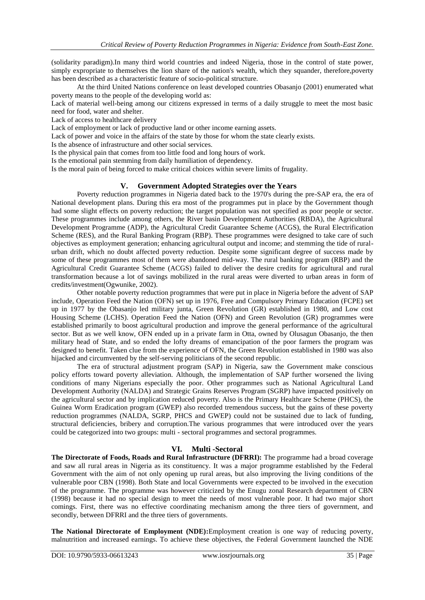(solidarity paradigm).In many third world countries and indeed Nigeria, those in the control of state power, simply expropriate to themselves the lion share of the nation's wealth, which they squander, therefore,poverty has been described as a characteristic feature of socio-political structure.

At the third United Nations conference on least developed countries Obasanjo (2001) enumerated what poverty means to the people of the developing world as:

Lack of material well-being among our citizens expressed in terms of a daily struggle to meet the most basic need for food, water and shelter.

Lack of access to healthcare delivery

Lack of employment or lack of productive land or other income earning assets.

Lack of power and voice in the affairs of the state by those for whom the state clearly exists.

Is the absence of infrastructure and other social services.

Is the physical pain that comes from too little food and long hours of work.

Is the emotional pain stemming from daily humiliation of dependency.

Is the moral pain of being forced to make critical choices within severe limits of frugality.

# **V. Government Adopted Strategies over the Years**

Poverty reduction programmes in Nigeria dated back to the 1970's during the pre-SAP era, the era of National development plans. During this era most of the programmes put in place by the Government though had some slight effects on poverty reduction; the target population was not specified as poor people or sector. These programmes include among others, the River basin Development Authorities (RBDA), the Agricultural Development Programme (ADP), the Agricultural Credit Guarantee Scheme (ACGS), the Rural Electrification Scheme (RES), and the Rural Banking Program (RBP). These programmes were designed to take care of such objectives as employment generation; enhancing agricultural output and income; and stemming the tide of ruralurban drift, which no doubt affected poverty reduction. Despite some significant degree of success made by some of these programmes most of them were abandoned mid-way. The rural banking program (RBP) and the Agricultural Credit Guarantee Scheme (ACGS) failed to deliver the desire credits for agricultural and rural transformation because a lot of savings mobilized in the rural areas were diverted to urban areas in form of credits/investment(Ogwunike, 2002).

Other notable poverty reduction programmes that were put in place in Nigeria before the advent of SAP include, Operation Feed the Nation (OFN) set up in 1976, Free and Compulsory Primary Education (FCPE) set up in 1977 by the Obasanjo led military junta, Green Revolution (GR) established in 1980, and Low cost Housing Scheme (LCHS). Operation Feed the Nation (OFN) and Green Revolution (GR) programmes were established primarily to boost agricultural production and improve the general performance of the agricultural sector. But as we well know, OFN ended up in a private farm in Otta, owned by Olusagun Obasanjo, the then military head of State, and so ended the lofty dreams of emancipation of the poor farmers the program was designed to benefit. Taken clue from the experience of OFN, the Green Revolution established in 1980 was also hijacked and circumvented by the self-serving politicians of the second republic.

The era of structural adjustment program (SAP) in Nigeria, saw the Government make conscious policy efforts toward poverty alleviation. Although, the implementation of SAP further worsened the living conditions of many Nigerians especially the poor. Other programmes such as National Agricultural Land Development Authority (NALDA) and Strategic Grains Reserves Program (SGRP) have impacted positively on the agricultural sector and by implication reduced poverty. Also is the Primary Healthcare Scheme (PHCS), the Guinea Worm Eradication program (GWEP) also recorded tremendous success, but the gains of these poverty reduction programmes (NALDA, SGRP, PHCS and GWEP) could not be sustained due to lack of funding, structural deficiencies, bribery and corruption.The various programmes that were introduced over the years could be categorized into two groups: multi - sectoral programmes and sectoral programmes.

# **VI. Multi -Sectoral**

**The Directorate of Foods, Roads and Rural Infrastructure (DFRRI):** The programme had a broad coverage and saw all rural areas in Nigeria as its constituency. It was a major programme established by the Federal Government with the aim of not only opening up rural areas, but also improving the living conditions of the vulnerable poor CBN (1998). Both State and local Governments were expected to be involved in the execution of the programme. The programme was however criticized by the Enugu zonal Research department of CBN (1998) because it had no special design to meet the needs of most vulnerable poor. It had two major short comings. First, there was no effective coordinating mechanism among the three tiers of government, and secondly, between DFRRI and the three tiers of governments.

**The National Directorate of Employment (NDE):**Employment creation is one way of reducing poverty, malnutrition and increased earnings. To achieve these objectives, the Federal Government launched the NDE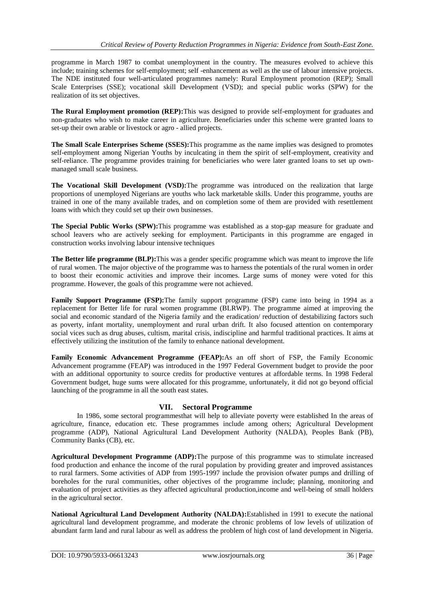programme in March 1987 to combat unemployment in the country. The measures evolved to achieve this include; training schemes for self-employment; self -enhancement as well as the use of labour intensive projects. The NDE instituted four well-articulated programmes namely: Rural Employment promotion (REP); Small Scale Enterprises (SSE); vocational skill Development (VSD); and special public works (SPW) for the realization of its set objectives.

**The Rural Employment promotion (REP):**This was designed to provide self-employment for graduates and non-graduates who wish to make career in agriculture. Beneficiaries under this scheme were granted loans to set-up their own arable or livestock or agro - allied projects.

**The Small Scale Enterprises Scheme (SSES):**This programme as the name implies was designed to promotes self-employment among Nigerian Youths by inculcating in them the spirit of self-employment, creativity and self-reliance. The programme provides training for beneficiaries who were later granted loans to set up ownmanaged small scale business.

**The Vocational Skill Development (VSD):**The programme was introduced on the realization that large proportions of unemployed Nigerians are youths who lack marketable skills. Under this programme, youths are trained in one of the many available trades, and on completion some of them are provided with resettlement loans with which they could set up their own businesses.

**The Special Public Works (SPW):**This programme was established as a stop-gap measure for graduate and school leavers who are actively seeking for employment. Participants in this programme are engaged in construction works involving labour intensive techniques

**The Better life programme (BLP):**This was a gender specific programme which was meant to improve the life of rural women. The major objective of the programme was to harness the potentials of the rural women in order to boost their economic activities and improve their incomes. Large sums of money were voted for this programme. However, the goals of this programme were not achieved.

**Family Support Programme (FSP):**The family support programme (FSP) came into being in 1994 as a replacement for Better life for rural women programme (BLRWP). The programme aimed at improving the social and economic standard of the Nigeria family and the eradication/ reduction of destabilizing factors such as poverty, infant mortality, unemployment and rural urban drift. It also focused attention on contemporary social vices such as drug abuses, cultism, marital crisis, indiscipline and harmful traditional practices. It aims at effectively utilizing the institution of the family to enhance national development.

**Family Economic Advancement Programme (FEAP):**As an off short of FSP, the Family Economic Advancement programme (FEAP) was introduced in the 1997 Federal Government budget to provide the poor with an additional opportunity to source credits for productive ventures at affordable terms. In 1998 Federal Government budget, huge sums were allocated for this programme, unfortunately, it did not go beyond official launching of the programme in all the south east states.

# **VII. Sectoral Programme**

In 1986, some sectoral programmesthat will help to alleviate poverty were established In the areas of agriculture, finance, education etc. These programmes include among others; Agricultural Development programme (ADP), National Agricultural Land Development Authority (NALDA), Peoples Bank (PB), Community Banks (CB), etc.

**Agricultural Development Programme (ADP):**The purpose of this programme was to stimulate increased food production and enhance the income of the rural population by providing greater and improved assistances to rural farmers. Some activities of ADP from 1995-1997 include the provision ofwater pumps and drilling of boreholes for the rural communities, other objectives of the programme include; planning, monitoring and evaluation of project activities as they affected agricultural production,income and well-being of small holders in the agricultural sector.

**National Agricultural Land Development Authority (NALDA):**Established in 1991 to execute the national agricultural land development programme, and moderate the chronic problems of low levels of utilization of abundant farm land and rural labour as well as address the problem of high cost of land development in Nigeria.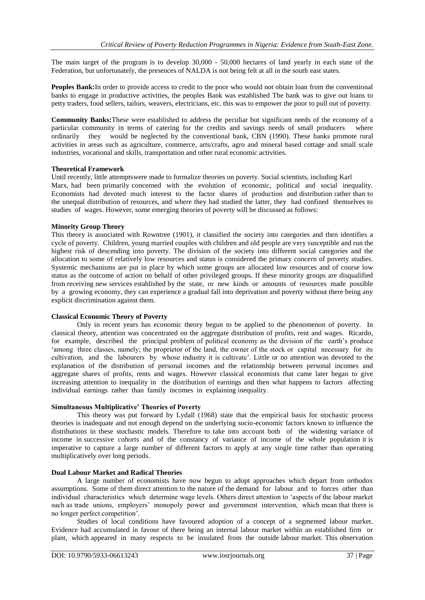The main target of the program is to develop 30,000 - 50,000 hectares of land yearly in each state of the Federation, but unfortunately, the presences of NALDA is not being felt at all in the south east states.

**Peoples Bank:**In order to provide access to credit to the poor who would not obtain loan from the conventional banks to engage in productive activities, the peoples Bank was established The bank was to give out loans to petty traders, food sellers, tailors, weavers, electricians, etc. this was to empower the poor to pull out of poverty.

**Community Banks:**These were established to address the peculiar but significant needs of the economy of a particular community in terms of catering for the credits and savings needs of small producers where ordinarily they would be neglected by the conventional bank, CBN (1990). These banks promote rural activities in areas such as agriculture, commerce, arts/crafts, agro and mineral based cottage and small scale industries, vocational and skills, transportation and other rural economic activities.

# **Theoretical Framework**

Until recently, little attemptswere made to formalize theories on poverty. Social scientists, including Karl Marx, had been primarily concerned with the evolution of economic, political and social inequality. Economists had devoted much interest to the factor shares of production and distribution rather than to the unequal distribution of resources, and where they had studied the latter, they had confined themselves to studies of wages. However, some emerging theories of poverty will be discussed as follows:

#### **Minority Group Theory**

This theory is associated with Rowntree (1901), it classified the society into categories and then identifies a cycle of poverty. Children, young married couples with children and old people are very susceptible and run the highest risk of descending into poverty. The division of the society into different social categories and the allocation to some of relatively low resources and status is considered the primary concern of poverty studies. Systemic mechanisms are put in place by which some groups are allocated low resources and of course low status as the outcome of action on behalf of other privileged groups. If these minority groups are disqualified from receiving new services established by the state, or new kinds or amounts of resources made possible by a growing economy, they can experience a gradual fall into deprivation and poverty without there being any explicit discrimination against them.

#### **Classical Economic Theory of Poverty**

Only in recent years has economic theory begun to be applied to the phenomenon of poverty. In classical theory, attention was concentrated on the aggregate distribution of profits, rent and wages. Ricardo, for example, described the principal problem of political economy as the division of the earth's produce 'among three classes, namely; the proprietor of the land, the owner of the stock or capital necessary for its cultivation, and the labourers by whose industry it is cultivate". Little or no attention was devoted to the explanation of the distribution of personal incomes and the relationship between personal incomes and aggregate shares of profits, rents and wages. However classical economists that came later began to give increasing attention to inequality in the distribution of earnings and then what happens to factors affecting individual earnings rather than family incomes in explaining inequality.

# **Simultaneous Multiplicative' Theories of Poverty**

This theory was put forward by Lydall (1968) state that the empirical basis for stochastic process theories is inadequate and not enough depend on the underlying socio-economic factors known to influence the distributions in these stochastic models. Therefore to take into account both of the widening variance of income in successive cohorts and of the constancy of variance of income of the whole population it is imperative to capture a large number of different factors to apply at any single time rather than operating multiplicatively over long periods.

## **Dual Labour Market and Radical Theories**

A large number of economists have now begun to adopt approaches which depart from orthodox assumptions. Some of them direct attention to the nature of the demand for labour and to forces other than individual characteristics which determine wage levels. Others direct attention to "aspects of the labour market such as trade unions, employers' monopoly power and government intervention, which mean that there is no longer perfect competition".

Studies of local conditions have favoured adoption of a concept of a segmented labour market. Evidence had accumulated in favour of there being an internal labour market within an established firm or plant, which appeared in many respects to be insulated from the outside labour market. This observation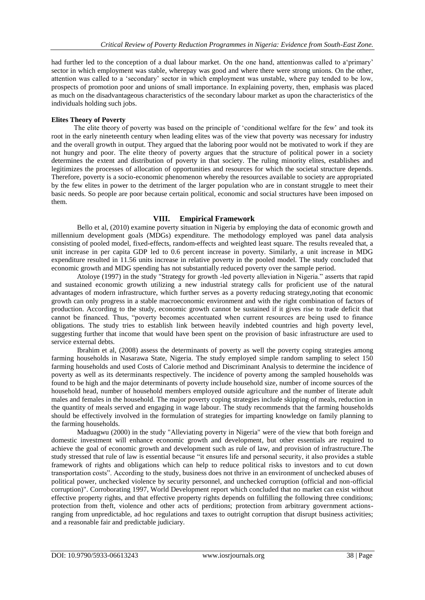had further led to the conception of a dual labour market. On the one hand, attentionwas called to a'primary' sector in which employment was stable, wherepay was good and where there were strong unions. On the other, attention was called to a "secondary" sector in which employment was unstable, where pay tended to be low, prospects of promotion poor and unions of small importance. In explaining poverty, then, emphasis was placed as much on the disadvantageous characteristics of the secondary labour market as upon the characteristics of the individuals holding such jobs.

# **Elites Theory of Poverty**

The elite theory of poverty was based on the principle of "conditional welfare for the few" and took its root in the early nineteenth century when leading elites was of the view that poverty was necessary for industry and the overall growth in output. They argued that the laboring poor would not be motivated to work if they are not hungry and poor. The elite theory of poverty argues that the structure of political power in a society determines the extent and distribution of poverty in that society. The ruling minority elites, establishes and legitimizes the processes of allocation of opportunities and resources for which the societal structure depends. Therefore, poverty is a socio-economic phenomenon whereby the resources available to society are appropriated by the few elites in power to the detriment of the larger population who are in constant struggle to meet their basic needs. So people are poor because certain political, economic and social structures have been imposed on them.

# **VIII. Empirical Framework**

Bello et al, (2010) examine poverty situation in Nigeria by employing the data of economic growth and millennium development goals (MDGs) expenditure. The methodology employed was panel data analysis consisting of pooled model, fixed**-**effects, random**-**effects and weighted least square. The results revealed that, a unit increase in per capita GDP led to 0.6 percent increase in poverty. Similarly, a unit increase in MDG expenditure resulted in 11.56 units increase in relative poverty in the pooled model. The study concluded that economic growth and MDG spending has not substantially reduced poverty over the sample period.

Atoloye (1997) in the study "Strategy for growth -led poverty alleviation in Nigeria." asserts that rapid and sustained economic growth utilizing a new industrial strategy calls for proficient use of the natural advantages of modern infrastructure, which further serves as a poverty reducing strategy,noting that economic growth can only progress in a stable macroeconomic environment and with the right combination of factors of production. According to the study, economic growth cannot be sustained if it gives rise to trade deficit that cannot be financed. Thus, "poverty becomes accentuated when current resources are being used to finance obligations. The study tries to establish link between heavily indebted countries and high poverty level, suggesting further that income that would have been spent on the provision of basic infrastructure are used to service external debts.

Ibrahim et al, (2008) assess the determinants of poverty as well the poverty coping strategies among farming households in Nasarawa State, Nigeria. The study employed simple random sampling to select 150 farming households and used Costs of Calorie method and Discriminant Analysis to determine the incidence of poverty as well as its determinants respectively. The incidence of poverty among the sampled households was found to be high and the major determinants of poverty include household size, number of income sources of the household head, number of household members employed outside agriculture and the number of literate adult males and females in the household. The major poverty coping strategies include skipping of meals, reduction in the quantity of meals served and engaging in wage labour. The study recommends that the farming households should be effectively involved in the formulation of strategies for imparting knowledge on family planning to the farming households.

Maduagwu (2000) in the study "Alleviating poverty in Nigeria" were of the view that both foreign and domestic investment will enhance economic growth and development, but other essentials are required to achieve the goal of economic growth and development such as rule of law, and provision of infrastructure.The study stressed that rule of law is essential because "it ensures life and personal security, it also provides a stable framework of rights and obligations which can help to reduce political risks to investors and to cut down transportation costs". According to the study, business does not thrive in an environment of unchecked abuses of political power, unchecked violence by security personnel, and unchecked corruption (official and non-official corruption)". Corroborating 1997, World Development report which concluded that no market can exist without effective property rights, and that effective property rights depends on fulfilling the following three conditions; protection from theft, violence and other acts of perditions; protection from arbitrary government actionsranging from unpredictable, ad hoc regulations and taxes to outright corruption that disrupt business activities; and a reasonable fair and predictable judiciary.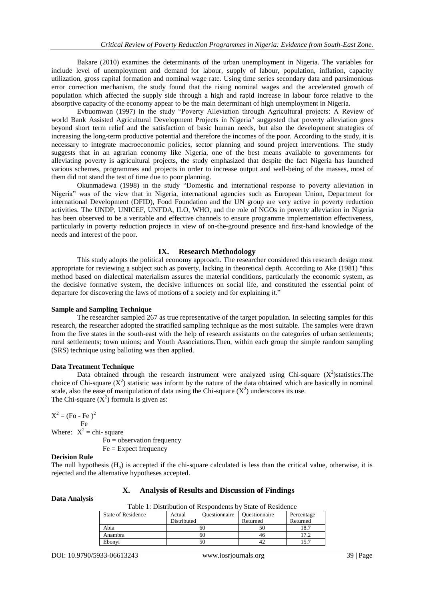Bakare (2010) examines the determinants of the urban unemployment in Nigeria. The variables for include level of unemployment and demand for labour, supply of labour, population, inflation, capacity utilization, gross capital formation and nominal wage rate. Using time series secondary data and parsimonious error correction mechanism, the study found that the rising nominal wages and the accelerated growth of population which affected the supply side through a high and rapid increase in labour force relative to the absorptive capacity of the economy appear to be the main determinant of high unemployment in Nigeria.

Evbuomwan (1997) in the study "Poverty Alleviation through Agricultural projects: A Review of world Bank Assisted Agricultural Development Projects in Nigeria" suggested that poverty alleviation goes beyond short term relief and the satisfaction of basic human needs, but also the development strategies of increasing the long-term productive potential and therefore the incomes of the poor. According to the study, it is necessary to integrate macroeconomic policies, sector planning and sound project interventions. The study suggests that in an agrarian economy like Nigeria, one of the best means available to governments for alleviating poverty is agricultural projects, the study emphasized that despite the fact Nigeria has launched various schemes, programmes and projects in order to increase output and well-being of the masses, most of them did not stand the test of time due to poor planning.

Okunmadewa (1998) in the study "Domestic and international response to poverty alleviation in Nigeria" was of the view that in Nigeria, international agencies such as European Union, Department for international Development (DFID), Food Foundation and the UN group are very active in poverty reduction activities. The UNDP, UNICEF, UNFDA, ILO, WHO, and the role of NGOs in poverty alleviation in Nigeria has been observed to be a veritable and effective channels to ensure programme implementation effectiveness, particularly in poverty reduction projects in view of on-the-ground presence and first-hand knowledge of the needs and interest of the poor.

#### **IX. Research Methodology**

This study adopts the political economy approach. The researcher considered this research design most appropriate for reviewing a subject such as poverty, lacking in theoretical depth. According to Ake (1981) "this method based on dialectical materialism assures the material conditions, particularly the economic system, as the decisive formative system, the decisive influences on social life, and constituted the essential point of departure for discovering the laws of motions of a society and for explaining it."

#### **Sample and Sampling Technique**

The researcher sampled 267 as true representative of the target population. In selecting samples for this research, the researcher adopted the stratified sampling technique as the most suitable. The samples were drawn from the five states in the south-east with the help of research assistants on the categories of urban settlements; rural settlements; town unions; and Youth Associations.Then, within each group the simple random sampling (SRS) technique using balloting was then applied.

#### **Data Treatment Technique**

Data obtained through the research instrument were analyzed using Chi-square  $(X^2)$ statistics. The choice of Chi-square  $(X^2)$  statistic was inform by the nature of the data obtained which are basically in nominal scale, also the ease of manipulation of data using the Chi-square  $(X^2)$  underscores its use. The Chi-square  $(X^2)$  formula is given as:

 $X^2 = (Fo - Fe)^2$  Fe Where:  $X^2 =$ chi-square Fo = observation frequency  $Fe = Expect frequency$ 

#### **Decision Rule**

The null hypothesis  $(H_0)$  is accepted if the chi-square calculated is less than the critical value, otherwise, it is rejected and the alternative hypotheses accepted.

## **X. Analysis of Results and Discussion of Findings**

**Data Analysis**

| Table 1: Distribution of Respondents by State of Residence |  |  |
|------------------------------------------------------------|--|--|
|------------------------------------------------------------|--|--|

| Tuole II Dhonouon of Kessoniaenis o |  |          |          |                      |            |
|-------------------------------------|--|----------|----------|----------------------|------------|
| <b>Ouestionnaire</b><br>Actual      |  |          |          | <b>Questionnaire</b> | Percentage |
| Distributed                         |  | Returned | Returned |                      |            |
|                                     |  |          | 18.7     |                      |            |
|                                     |  |          | 7.2      |                      |            |
|                                     |  |          | .5.7     |                      |            |
|                                     |  | 60<br>60 |          |                      |            |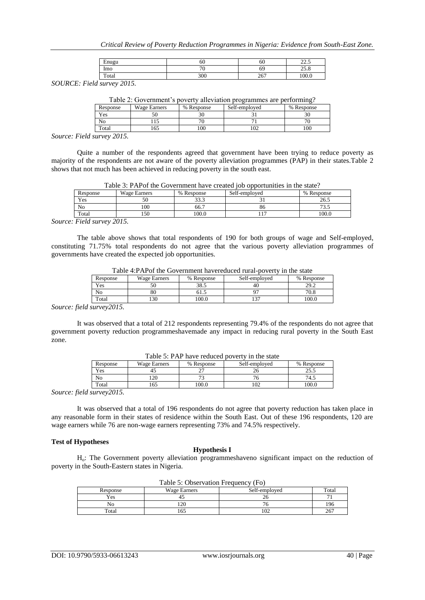*Critical Review of Poverty Reduction Programmes in Nigeria: Evidence from South-East Zone.*

| $\blacksquare$<br>Enugu | 60                       | οu         | $\sim$<br>ر. د سه سه               |
|-------------------------|--------------------------|------------|------------------------------------|
| Imo                     | $\overline{\phantom{a}}$ | 69         | $\sim$ $\sim$ $\sim$<br>$\sim$ 0.0 |
| Total                   | 300                      | 257<br>20. | 100.0                              |

*SOURCE: Field survey 2015.*

| Table 2: Government's poverty alleviation programmes are performing? |  |  |
|----------------------------------------------------------------------|--|--|
|                                                                      |  |  |

| Response        | <b>Wage Earners</b> | % Response    | Self-employed | % Response               |
|-----------------|---------------------|---------------|---------------|--------------------------|
| Yes             | υU                  | $\sim$<br>30. |               | 3U                       |
| <b>AT</b><br>No |                     | $\sim$        |               | $\overline{\phantom{a}}$ |
| Total           | .65                 | 00'           | 102           | 100                      |

*Source: Field survey 2015.*

Quite a number of the respondents agreed that government have been trying to reduce poverty as majority of the respondents are not aware of the poverty alleviation programmes (PAP) in their states.Table 2 shows that not much has been achieved in reducing poverty in the south east.

| Response | <b>Wage Earners</b> | Self-employed<br>% Response |    | $\%$<br>Response               |
|----------|---------------------|-----------------------------|----|--------------------------------|
| Yes      | - د<br>эu           | 222<br>ر. ر ر               |    | 26.5                           |
| No       | 100                 | 66.7                        | 80 | $\overline{\phantom{a}}$<br>ر… |
| Total    | 150                 | 100.0                       |    | 100.0                          |
| ____     | - - - -             |                             |    |                                |

*Source: Field survey 2015.*

The table above shows that total respondents of 190 for both groups of wage and Self-employed, constituting 71.75% total respondents do not agree that the various poverty alleviation programmes of governments have created the expected job opportunities.

| Table 4.1 AT 01 the Covernment naverculeur fural-boverty in the state |              |            |               |            |  |  |  |
|-----------------------------------------------------------------------|--------------|------------|---------------|------------|--|--|--|
| Response                                                              | Wage Earners | % Response | Self-employed | % Response |  |  |  |
| Yes                                                                   |              | 38.5       |               | 29.2       |  |  |  |
| No                                                                    | 80           |            |               | 70.8       |  |  |  |
| Total                                                                 |              | 00.0       |               | 100.0      |  |  |  |

Table 4:PAPof the Government havereduced rural-poverty in the state

*Source: field survey2015.*

It was observed that a total of 212 respondents representing 79.4% of the respondents do not agree that government poverty reduction programmeshavemade any impact in reducing rural poverty in the South East zone.

| Response | Wage Earners | % Response | Self-employed | % Response    |
|----------|--------------|------------|---------------|---------------|
| Yes      | ٠            |            |               | າະ ເ<br>ر. رے |
| No       | 20           |            |               | 74.1          |
| Total    | 65           | 00.0       | 102           | .00.0         |

Table 5: PAP have reduced poverty in the state

*Source: field survey2015.*

It was observed that a total of 196 respondents do not agree that poverty reduction has taken place in any reasonable form in their states of residence within the South East. Out of these 196 respondents, 120 are wage earners while 76 are non-wage earners representing 73% and 74.5% respectively.

## **Test of Hypotheses**

# **Hypothesis I**

Ho: The Government poverty alleviation programmeshaveno significant impact on the reduction of poverty in the South-Eastern states in Nigeria.

| I able 5: Observation Frequency (FO) |                                      |     |     |  |  |
|--------------------------------------|--------------------------------------|-----|-----|--|--|
| Response                             | Self-employed<br><b>Wage Earners</b> |     |     |  |  |
| Yes                                  |                                      |     |     |  |  |
| Nο                                   | 120                                  |     | 196 |  |  |
| Total                                | I 6.                                 | 102 | 267 |  |  |

 $T_{\text{sub}}$   $\sim$   $\epsilon$ . Observation  $\epsilon$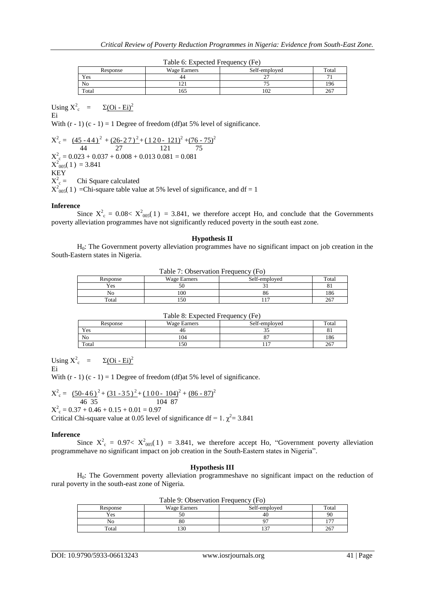| $10010$ $0.12$ $0.0000$ $1.000$ $0.000$ $1.00$ |              |               |       |  |  |  |  |
|------------------------------------------------|--------------|---------------|-------|--|--|--|--|
| Response                                       | Wage Earners | Self-emploved | Total |  |  |  |  |
| Yes                                            | 44           | ∸             |       |  |  |  |  |
| N <sub>0</sub>                                 |              |               | 196   |  |  |  |  |
| Total                                          | 165          | 102           | 267   |  |  |  |  |

|  |  | Table 6: Expected Frequency (Fe) |  |
|--|--|----------------------------------|--|
|  |  |                                  |  |

Using  $X^2$ <sub>c</sub> =  $\Sigma$ (Oi - Ei)<sup>2</sup> Ei

With  $(r - 1)(c - 1) = 1$  Degree of freedom (df)at 5% level of significance.

 $X^2 = (45 - 44)^2 + (26 - 27)^2 + (120 - 121)^2 + (76 - 75)^2$  44 27 121 75  $X_{c}^{2} = 0.023 + 0.037 + 0.008 + 0.013$   $0.081 = 0.081$  $X^2_{005}(1) = 3.841$ KEY  $X_{c}^{2}$  = Chi Square calculated  $X^2_{.005}(1)$  =Chi-square table value at 5% level of significance, and df = 1

#### **Inference**

Since  $X^2 = 0.08 < X^2_{0.05}(1) = 3.841$ , we therefore accept Ho, and conclude that the Governments poverty alleviation programmes have not significantly reduced poverty in the south east zone.

#### **Hypothesis II**

 $H<sub>0</sub>$ : The Government poverty alleviation programmes have no significant impact on job creation in the South-Eastern states in Nigeria.

Table 7: Observation Frequency (Fo)

| $1.0018$ , $1.000081$ , $0.011$ , $1.0000$<br>. |              |               |       |
|-------------------------------------------------|--------------|---------------|-------|
| Response                                        | Wage Earners | Self-emploved | Total |
| Yes                                             |              |               | oт    |
| No                                              | 100          | გი            | 186   |
| Total                                           | 150          |               | 267   |

#### Table 8: Expected Frequency (Fe)

| Response | Wage Earners | Self-employed | Total |
|----------|--------------|---------------|-------|
| Yes      | 40           | ີ່            | oт    |
| No       | 04           |               | 186   |
| Total    | 150          | $\sim$        | 267   |

Using  $X^2$ <sub>c</sub> =  $\Sigma(\text{Oi - Ei})^2$ Ei

With  $(r - 1)(c - 1) = 1$  Degree of freedom (df)at 5% level of significance.

$$
X2c = \frac{(50-46)^2 + (31-35)^2 + (100-104)^2 + (86-87)^2}{46\ 35}
$$
  
\n
$$
X2c = 0.37 + 0.46 + 0.15 + 0.01 = 0.97
$$
  
\nCritical Chi-square value at 0.05 level of significance df = 1.  $\chi^2$  = 3.841

#### **Inference**

Since  $X^2_c = 0.97 < X^2_{0.05}(1) = 3.841$ , we therefore accept Ho, "Government poverty alleviation programmehave no significant impact on job creation in the South-Eastern states in Nigeria".

#### **Hypothesis III**

H0: The Government poverty alleviation programmeshave no significant impact on the reduction of rural poverty in the south-east zone of Nigeria.

| Table 9. Observation Prequency (PO) |              |               |                          |
|-------------------------------------|--------------|---------------|--------------------------|
| Response                            | Wage Earners | Self-employed | $_{\rm Total}$           |
| Yes                                 |              |               | 90                       |
| No                                  | 80           |               | $\overline{\phantom{a}}$ |
| $\tau$ <sub>otal</sub>              | l 30         |               | 267                      |

Table 9: Observation Frequency (Fo)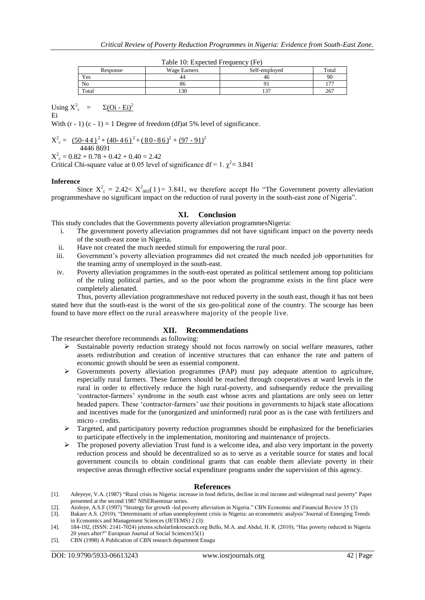| $10010 + 101$ . Enpected I requested $(100)$ |              |               |       |
|----------------------------------------------|--------------|---------------|-------|
| Response                                     | Wage Earners | Self-emploved | Total |
| Yes                                          | 44           | -46           | 90    |
| N <sub>0</sub>                               | ōΟ           |               | .     |
| Total                                        | 130          | ר ה           | 267   |

|  | Table 10: Expected Frequency (Fe) |  |
|--|-----------------------------------|--|
|  |                                   |  |

Using  $X^2$ <sub>c</sub> =  $\Sigma$ (Oi - Ei)<sup>2</sup> Ei

With  $(r - 1)(c - 1) = 1$  Degree of freedom (df)at 5% level of significance.

 $X^2 = (50-44)^2 + (40-46)^2 + (80-86)^2 + (97-91)^2$  4446 8691  $X^2$ <sub>c</sub> = 0.82 + 0.78 + 0.42 + 0.40 = 2.42

Critical Chi-square value at 0.05 level of significance df = 1.  $\chi^2$  = 3.841

# **Inference**

Since  $X^2 = 2.42 < X^2_{0.05}(1) = 3.841$ , we therefore accept Ho "The Government poverty alleviation" programmeshave no significant impact on the reduction of rural poverty in the south-east zone of Nigeria".

# **XI. Conclusion**

This study concludes that the Governments poverty alleviation programmesNigeria:

- i. The government poverty alleviation programmes did not have significant impact on the poverty needs of the south-east zone in Nigeria.
- ii. Have not created the much needed stimuli for empowering the rural poor.
- iii. Government"s poverty alleviation programmes did not created the much needed job opportunities for the teaming army of unemployed in the south-east.
- iv. Poverty alleviation programmes in the south-east operated as political settlement among top politicians of the ruling political parties, and so the poor whom the programme exists in the first place were completely alienated.

Thus, poverty alleviation programmeshave not reduced poverty in the south east, though it has not been stated here that the south-east is the worst of the six geo-political zone of the country. The scourge has been found to have more effect on the rural areaswhere majority of the people live.

# **XII. Recommendations**

The researcher therefore recommends as following:

- Sustainable poverty reduction strategy should not focus narrowly on social welfare measures, rather assets redistribution and creation of incentive structures that can enhance the rate and pattern of economic growth should be seen as essential component.
- Governments poverty alleviation programmes (PAP) must pay adequate attention to agriculture, especially rural farmers. These farmers should be reached through cooperatives at ward levels in the rural in order to effectively reduce the high rural-poverty, and subsequently reduce the prevailing "contractor-farmers" syndrome in the south east whose acres and plantations are only seen on letter headed papers. These "contractor-farmers" use their positions in governments to hijack state allocations and incentives made for the (unorganized and uninformed) rural poor as is the case with fertilizers and micro - credits.
- $\triangleright$  Targeted, and participatory poverty reduction programmes should be emphasized for the beneficiaries to participate effectively in the implementation, monitoring and maintenance of projects.
- $\triangleright$  The proposed poverty alleviation Trust fund is a welcome idea, and also very important in the poverty reduction process and should be decentralized so as to serve as a veritable source for states and local government councils to obtain conditional grants that can enable them alleviate poverty in their respective areas through effective social expenditure programs under the supervision of this agency.

# **References**

- [1]. Adeyeye, V.A. (1987) "Rural crisis in Nigeria: increase in food deficits, decline in real income and widespread rural poverty" Paper presented at the second 1987 NISERseminar series.
- [2]. Atoloye, A.S.F (1997) "Strategy for growth -led poverty alleviation in Nigeria." CBN Economic and Financial Review 35 (3)
- [3]. Bakare A.S. (2010); "Determinants of urban unemployment crisis in Nigeria: an econometric analysis"Journal of Emerging Trends in Economics and Management Sciences (JETEMS) 2 (3):
- [4]. 184-192, (ISSN: 2141-7024) jetems.scholarlinkresearch.org Bello, M.A. and Abdul, H. R. (2010); "Has poverty reduced in Nigeria 20 years after?" European Journal of Social Sciences15(1)
- [5]. CBN (1998) A Publication of CBN research department Enugu